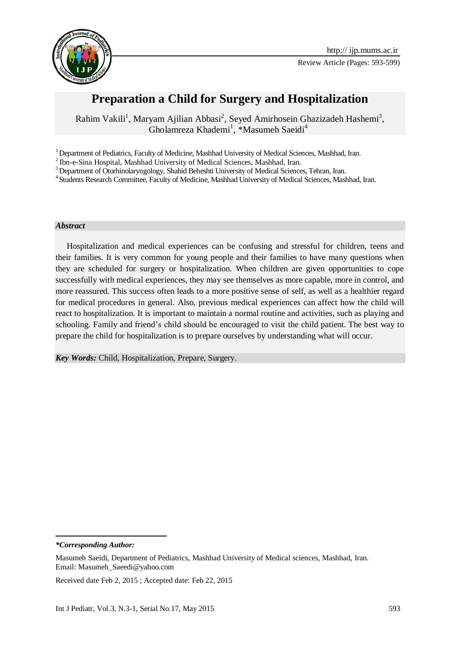

# **Preparation a Child for Surgery and Hospitalization**

Rahim Vakili<sup>1</sup>, Maryam Ajilian Abbasi<sup>2</sup>, Seyed Amirhosein Ghazizadeh Hashemi<sup>3</sup>, Gholamreza Khademi<sup>1</sup>, \*Masumeh Saeidi<sup>4</sup>

<sup>1</sup> Department of Pediatrics, Faculty of Medicine, Mashhad University of Medical Sciences, Mashhad, Iran.

<sup>2</sup>Ibn-e-Sina Hospital, Mashhad University of Medical Sciences, Mashhad, Iran.

<sup>3</sup> Department of Otorhinolaryngology, Shahid Beheshti University of Medical Sciences, Tehran, Iran.

<sup>4</sup> Students Research Committee, Faculty of Medicine, Mashhad University of Medical Sciences, Mashhad, Iran.

#### *Abstract*

Hospitalization and medical experiences can be confusing and stressful for children, teens and their families. It is very common for young people and their families to have many questions when they are scheduled for surgery or hospitalization. When children are given opportunities to cope successfully with medical experiences, they may see themselves as more capable, more in control, and more reassured. This success often leads to a more positive sense of self, as well as a healthier regard for medical procedures in general. Also, previous medical experiences can affect how the child will react to hospitalization. It is important to maintain a normal routine and activities, such as playing and schooling. Family and friend's child should be encouraged to visit the child patient. The best way to prepare the child for hospitalization is to prepare ourselves by understanding what will occur.

*Key Words:* Child, Hospitalization, Prepare, Surgery.

*\*Corresponding Author:*

-

Received date Feb 2, 2015 ; Accepted date: Feb 22, 2015

Masumeh Saeidi, Department of Pediatrics, Mashhad University of Medical sciences, Mashhad, Iran. Email: Masumeh\_Saeedi@yahoo.com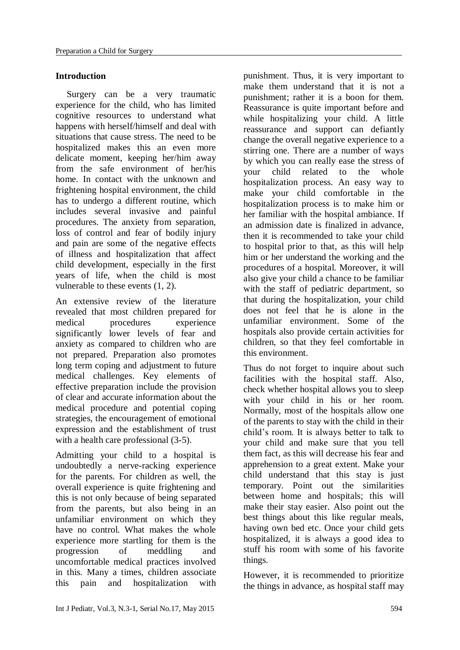#### **Introduction**

Surgery can be a very traumatic experience for the child, who has limited cognitive resources to understand what happens with herself/himself and deal with situations that cause stress. The need to be hospitalized makes this an even more delicate moment, keeping her/him away from the safe environment of her/his home. In contact with the unknown and frightening hospital environment, the child has to undergo a different routine, which includes several invasive and painful procedures. The anxiety from separation, loss of control and fear of bodily injury and pain are some of the negative effects of illness and hospitalization that affect child development, especially in the first years of life, when the child is most vulnerable to these events  $(1, 2)$ .

An extensive review of the literature revealed that most children prepared for medical procedures experience significantly lower levels of fear and anxiety as compared to children who are not prepared. Preparation also promotes long term coping and adjustment to future medical challenges. Key elements of effective preparation include the provision of clear and accurate information about the medical procedure and potential coping strategies, the encouragement of emotional expression and the establishment of trust with a health care professional  $(3-5)$ .

Admitting your child to a hospital is undoubtedly a nerve-racking experience for the parents. For children as well, the overall experience is quite frightening and this is not only because of being separated from the parents, but also being in an unfamiliar environment on which they have no control. What makes the whole experience more startling for them is the progression of meddling and uncomfortable medical practices involved in this. Many a times, children associate this pain and hospitalization with punishment. Thus, it is very important to make them understand that it is not a punishment; rather it is a boon for them. Reassurance is quite important before and while hospitalizing your child. A little reassurance and support can defiantly change the overall negative experience to a stirring one. There are a number of ways by which you can really ease the stress of your child related to the whole hospitalization process. An easy way to make your child comfortable in the hospitalization process is to make him or her familiar with the hospital ambiance. If an admission date is finalized in advance, then it is recommended to take your child to hospital prior to that, as this will help him or her understand the working and the procedures of a hospital. Moreover, it will also give your child a chance to be familiar with the staff of pediatric department, so that during the hospitalization, your child does not feel that he is alone in the unfamiliar environment. Some of the hospitals also provide certain activities for children, so that they feel comfortable in this environment.

Thus do not forget to inquire about such facilities with the hospital staff. Also, check whether hospital allows you to sleep with your child in his or her room. Normally, most of the hospitals allow one of the parents to stay with the child in their child's room. It is always better to talk to your child and make sure that you tell them fact, as this will decrease his fear and apprehension to a great extent. Make your child understand that this stay is just temporary. Point out the similarities between home and hospitals; this will make their stay easier. Also point out the best things about this like regular meals, having own bed etc. Once your child gets hospitalized, it is always a good idea to stuff his room with some of his favorite things.

However, it is recommended to prioritize the things in advance, as hospital staff may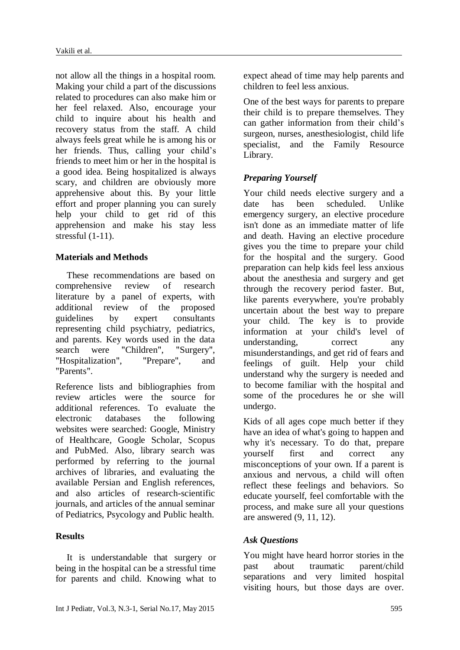not allow all the things in a hospital room. Making your child a part of the discussions related to procedures can also make him or her feel relaxed. Also, encourage your child to inquire about his health and recovery status from the staff. A child always feels great while he is among his or her friends. Thus, calling your child's friends to meet him or her in the hospital is a good idea. Being hospitalized is always scary, and children are obviously more apprehensive about this. By your little effort and proper planning you can surely help your child to get rid of this apprehension and make his stay less stressful (1-11).

#### **Materials and Methods**

These recommendations are based on comprehensive review of research literature by a panel of experts, with additional review of the proposed guidelines by expert consultants representing child psychiatry, pediatrics, and parents. Key words used in the data search were "Children", "Surgery", "Hospitalization", "Prepare", and "Parents".

Reference lists and bibliographies from review articles were the source for additional references. To evaluate the electronic databases the following websites were searched: Google, Ministry of Healthcare, Google Scholar, Scopus and PubMed. Also, library search was performed by referring to the journal archives of libraries, and evaluating the available Persian and English references, and also articles of research-scientific journals, and articles of the annual seminar of Pediatrics, Psycology and Public health.

#### **Results**

It is understandable that surgery or being in the hospital can be a stressful time for parents and child. Knowing what to expect ahead of time may help parents and children to feel less anxious.

One of the best ways for parents to prepare their child is to prepare themselves. They can gather information from their child's surgeon, nurses, anesthesiologist, child life specialist, and the Family Resource Library.

# *Preparing Yourself*

Your child needs elective surgery and a date has been scheduled. Unlike emergency surgery, an [elective procedure](http://kidshealth.org/parent/system/surgery/elective.html) isn't done as an immediate matter of life and death. Having an elective procedure gives you the time to prepare your child for the hospital and the surgery. Good preparation can help kids feel less anxious about the anesthesia and surgery and get through the recovery period faster. But, like parents everywhere, you're probably uncertain about the best way to prepare your child. The key is to provide information at your child's level of understanding, correct any misunderstandings, and get rid of fears and feelings of guilt. Help your child understand why the surgery is needed and to become familiar with the hospital and some of the procedures he or she will undergo.

Kids of all ages cope much better if they have an idea of what's going to happen and why it's necessary. To do that, prepare yourself first and correct any misconceptions of your own. If a parent is anxious and nervous, a child will often reflect these feelings and behaviors. So educate yourself, feel comfortable with the process, and make sure all your questions are answered (9, 11, 12).

### *Ask Questions*

You might have heard horror stories in the past about traumatic parent/child separations and very limited hospital visiting hours, but those days are over.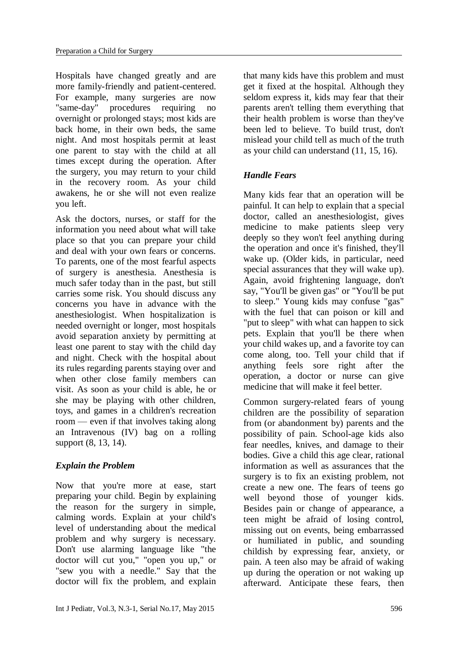Hospitals have changed greatly and are more family-friendly and patient-centered. For example, many surgeries are now "same-day" procedures requiring no overnight or prolonged stays; most kids are back home, in their own beds, the same night. And most hospitals permit at least one parent to stay with the child at all times except during the operation. After the surgery, you may return to your child in the recovery room. As your child awakens, he or she will not even realize you left.

Ask the doctors, nurses, or staff for the information you need about what will take place so that you can prepare your child and deal with your own fears or concerns. To parents, one of the most fearful aspects of surgery is [anesthesia.](http://kidshealth.org/parent/system/surgery/anesthesia_prepare.html) Anesthesia is much safer today than in the past, but still carries some risk. You should discuss any concerns you have in advance with the anesthesiologist. When hospitalization is needed overnight or longer, most hospitals avoid separation anxiety by permitting at least one parent to stay with the child day and night. Check with the hospital about its rules regarding parents staying over and when other close family members can visit. As soon as your child is able, he or she may be playing with other children, toys, and games in a children's recreation room — even if that involves taking along an Intravenous (IV) bag on a rolling support (8, 13, 14).

### *Explain the Problem*

Now that you're more at ease, start preparing your child. Begin by explaining the reason for the surgery in simple, calming words. Explain at your child's level of understanding about the medical problem and why surgery is necessary. Don't use alarming language like "the doctor will cut you," "open you up," or "sew you with a needle." Say that the doctor will fix the problem, and explain that many kids have this problem and must get it fixed at the hospital. Although they seldom express it, kids may fear that their parents aren't telling them everything that their health problem is worse than they've been led to believe. To build trust, don't mislead your child tell as much of the truth as your child can understand (11, 15, 16).

### *Handle Fears*

Many kids fear that an operation will be painful. It can help to explain that a special doctor, called an anesthesiologist, gives medicine to make patients sleep very deeply so they won't feel anything during the operation and once it's finished, they'll wake up. (Older kids, in particular, need special assurances that they will wake up). Again, avoid frightening language, don't say, "You'll be given gas" or "You'll be put to sleep." Young kids may confuse "gas" with the fuel that can poison or kill and "put to sleep" with what can happen to sick pets. Explain that you'll be there when your child wakes up, and a favorite toy can come along, too. Tell your child that if anything feels sore right after the operation, a doctor or nurse can give medicine that will make it feel better.

Common surgery-related fears of young children are the possibility of separation from (or abandonment by) parents and the possibility of pain. School-age kids also fear needles, knives, and damage to their bodies. Give a child this age clear, rational information as well as assurances that the surgery is to fix an existing problem, not create a new one. The fears of teens go well beyond those of younger kids. Besides pain or change of appearance, a teen might be afraid of losing control, missing out on events, being embarrassed or humiliated in public, and sounding childish by expressing fear, anxiety, or pain. A teen also may be afraid of waking up during the operation or not waking up afterward. Anticipate these fears, then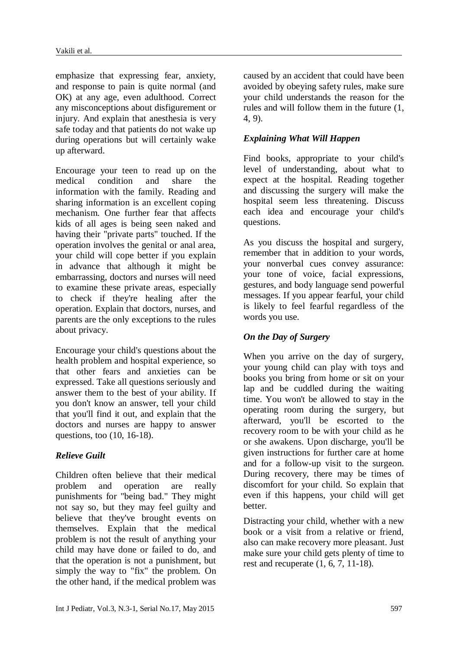emphasize that expressing fear, anxiety, and response to pain is quite normal (and OK) at any age, even adulthood. Correct any misconceptions about disfigurement or injury. And explain that anesthesia is very safe today and that patients do not wake up during operations but will certainly wake up afterward.

Encourage your teen to read up on the medical condition and share the information with the family. Reading and sharing information is an excellent coping mechanism. One further fear that affects kids of all ages is being seen naked and having their "private parts" touched. If the operation involves the genital or anal area, your child will cope better if you explain in advance that although it might be embarrassing, doctors and nurses will need to examine these private areas, especially to check if they're healing after the operation. Explain that doctors, nurses, and parents are the only exceptions to the rules about privacy.

Encourage your child's questions about the health problem and hospital experience, so that other fears and anxieties can be expressed. Take all questions seriously and answer them to the best of your ability. If you don't know an answer, tell your child that you'll find it out, and explain that the doctors and nurses are happy to answer questions, too (10, 16-18).

#### *Relieve Guilt*

Children often believe that their medical problem and operation are really punishments for "being bad." They might not say so, but they may feel guilty and believe that they've brought events on themselves. Explain that the medical problem is not the result of anything your child may have done or failed to do, and that the operation is not a punishment, but simply the way to "fix" the problem. On the other hand, if the medical problem was

caused by an accident that could have been avoided by obeying safety rules, make sure your child understands the reason for the rules and will follow them in the future (1, 4, 9).

#### *Explaining What Will Happen*

Find books, appropriate to your child's level of understanding, about what to expect at the hospital. Reading together and discussing the surgery will make the hospital seem less threatening. Discuss each idea and encourage your child's questions.

As you discuss the hospital and surgery, remember that in addition to your words, your nonverbal cues convey assurance: your tone of voice, facial expressions, gestures, and body language send powerful messages. If you appear fearful, your child is likely to feel fearful regardless of the words you use.

### *On the Day of Surgery*

When you arrive on the day of surgery, your young child can play with toys and books you bring from home or sit on your lap and be cuddled during the waiting time. You won't be allowed to stay in the operating room during the surgery, but afterward, you'll be escorted to the recovery room to be with your child as he or she awakens. Upon discharge, you'll be given instructions for further care at home and for a follow-up visit to the surgeon. During recovery, there may be times of discomfort for your child. So explain that even if this happens, your child will get better.

Distracting your child, whether with a new book or a visit from a relative or friend, also can make recovery more pleasant. Just make sure your child gets plenty of time to rest and recuperate (1, 6, 7, 11-18).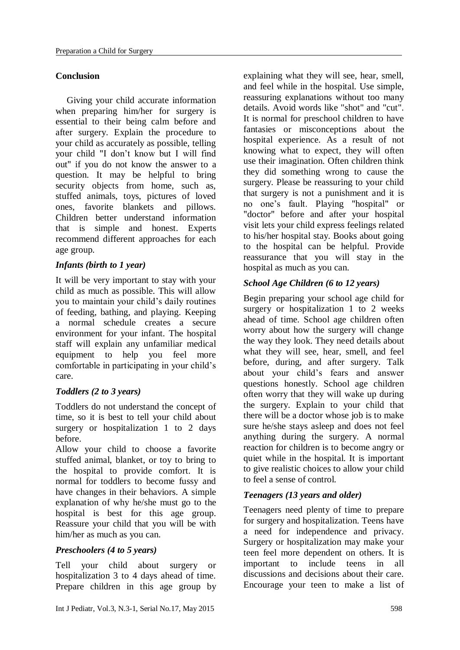### **Conclusion**

Giving your child accurate information when preparing him/her for surgery is essential to their being calm before and after surgery. Explain the procedure to your child as accurately as possible, telling your child "I don't know but I will find out" if you do not know the answer to a question. It may be helpful to bring security objects from home, such as, stuffed animals, toys, pictures of loved ones, favorite blankets and pillows. Children better understand information that is simple and honest. Experts recommend different approaches for each age group.

#### *Infants (birth to 1 year)*

It will be very important to stay with your child as much as possible. This will allow you to maintain your child's daily routines of feeding, bathing, and playing. Keeping a normal schedule creates a secure environment for your infant. The hospital staff will explain any unfamiliar medical equipment to help you feel more comfortable in participating in your child's care.

### *Toddlers (2 to 3 years)*

Toddlers do not understand the concept of time, so it is best to tell your child about surgery or hospitalization 1 to 2 days before.

Allow your child to choose a favorite stuffed animal, blanket, or toy to bring to the hospital to provide comfort. It is normal for toddlers to become fussy and have changes in their behaviors. A simple explanation of why he/she must go to the hospital is best for this age group. Reassure your child that you will be with him/her as much as you can.

#### *Preschoolers (4 to 5 years)*

Tell your child about surgery or hospitalization 3 to 4 days ahead of time. Prepare children in this age group by

explaining what they will see, hear, smell, and feel while in the hospital. Use simple, reassuring explanations without too many details. Avoid words like "shot" and "cut". It is normal for preschool children to have fantasies or misconceptions about the hospital experience. As a result of not knowing what to expect, they will often use their imagination. Often children think they did something wrong to cause the surgery. Please be reassuring to your child that surgery is not a punishment and it is no one's fault. Playing "hospital" or "doctor" before and after your hospital visit lets your child express feelings related to his/her hospital stay. Books about going to the hospital can be helpful. Provide reassurance that you will stay in the hospital as much as you can.

## *School Age Children (6 to 12 years)*

Begin preparing your school age child for surgery or hospitalization 1 to 2 weeks ahead of time. School age children often worry about how the surgery will change the way they look. They need details about what they will see, hear, smell, and feel before, during, and after surgery. Talk about your child's fears and answer questions honestly. School age children often worry that they will wake up during the surgery. Explain to your child that there will be a doctor whose job is to make sure he/she stays asleep and does not feel anything during the surgery. A normal reaction for children is to become angry or quiet while in the hospital. It is important to give realistic choices to allow your child to feel a sense of control.

### *Teenagers (13 years and older)*

Teenagers need plenty of time to prepare for surgery and hospitalization. Teens have a need for independence and privacy. Surgery or hospitalization may make your teen feel more dependent on others. It is important to include teens in all discussions and decisions about their care. Encourage your teen to make a list of